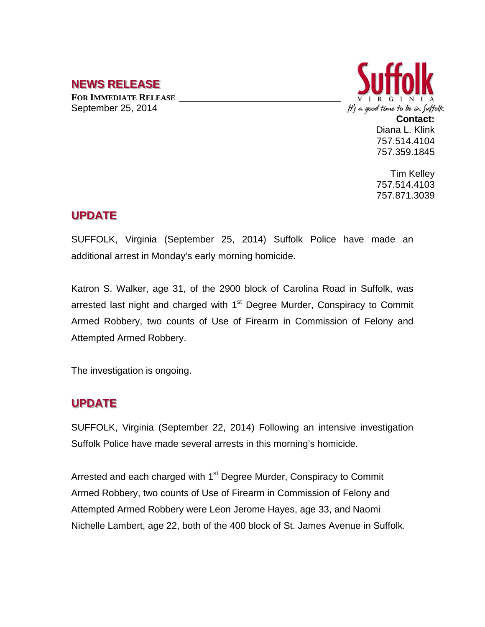## **NEWS RELEASE**

**FOR IMMEDIATE RELEASE \_\_\_\_\_\_\_\_\_\_\_\_\_\_\_\_\_\_\_\_\_\_\_\_\_\_\_\_\_\_\_\_\_\_** September 25, 2014



757.514.4104 757.359.1845

Tim Kelley 757.514.4103 757.871.3039

### **UPDATE**

SUFFOLK, Virginia (September 25, 2014) Suffolk Police have made an additional arrest in Monday's early morning homicide.

Katron S. Walker, age 31, of the 2900 block of Carolina Road in Suffolk, was arrested last night and charged with  $1<sup>st</sup>$  Degree Murder, Conspiracy to Commit Armed Robbery, two counts of Use of Firearm in Commission of Felony and Attempted Armed Robbery.

The investigation is ongoing.

# **UPDATE**

SUFFOLK, Virginia (September 22, 2014) Following an intensive investigation Suffolk Police have made several arrests in this morning's homicide.

Arrested and each charged with 1<sup>st</sup> Degree Murder, Conspiracy to Commit Armed Robbery, two counts of Use of Firearm in Commission of Felony and Attempted Armed Robbery were Leon Jerome Hayes, age 33, and Naomi Nichelle Lambert, age 22, both of the 400 block of St. James Avenue in Suffolk.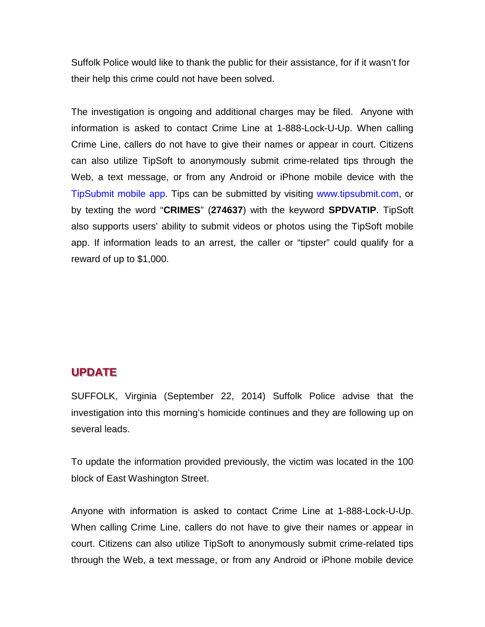Suffolk Police would like to thank the public for their assistance, for if it wasn't for their help this crime could not have been solved.

The investigation is ongoing and additional charges may be filed. Anyone with information is asked to contact Crime Line at 1-888-Lock-U-Up. When calling Crime Line, callers do not have to give their names or appear in court. Citizens can also utilize TipSoft to anonymously submit crime-related tips through the Web, a text message, or from any Android or iPhone mobile device with the TipSubmit mobile app. Tips can be submitted by visiting www.tipsubmit.com, or by texting the word "**CRIMES**" (**274637**) with the keyword **SPDVATIP**. TipSoft also supports users' ability to submit videos or photos using the TipSoft mobile app. If information leads to an arrest, the caller or "tipster" could qualify for a reward of up to \$1,000.

#### **UPDATE**

SUFFOLK, Virginia (September 22, 2014) Suffolk Police advise that the investigation into this morning's homicide continues and they are following up on several leads.

To update the information provided previously, the victim was located in the 100 block of East Washington Street.

Anyone with information is asked to contact Crime Line at 1-888-Lock-U-Up. When calling Crime Line, callers do not have to give their names or appear in court. Citizens can also utilize TipSoft to anonymously submit crime-related tips through the Web, a text message, or from any Android or iPhone mobile device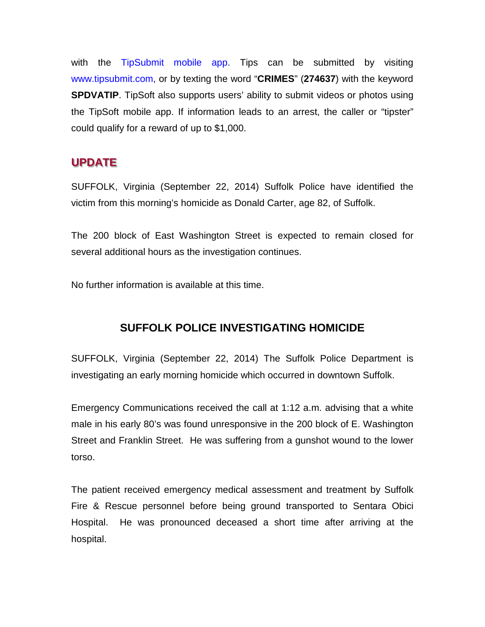with the TipSubmit mobile app. Tips can be submitted by visiting www.tipsubmit.com, or by texting the word "**CRIMES**" (**274637**) with the keyword **SPDVATIP**. TipSoft also supports users' ability to submit videos or photos using the TipSoft mobile app. If information leads to an arrest, the caller or "tipster" could qualify for a reward of up to \$1,000.

## **UPDATE**

SUFFOLK, Virginia (September 22, 2014) Suffolk Police have identified the victim from this morning's homicide as Donald Carter, age 82, of Suffolk.

The 200 block of East Washington Street is expected to remain closed for several additional hours as the investigation continues.

No further information is available at this time.

### **SUFFOLK POLICE INVESTIGATING HOMICIDE**

SUFFOLK, Virginia (September 22, 2014) The Suffolk Police Department is investigating an early morning homicide which occurred in downtown Suffolk.

Emergency Communications received the call at 1:12 a.m. advising that a white male in his early 80's was found unresponsive in the 200 block of E. Washington Street and Franklin Street. He was suffering from a gunshot wound to the lower torso.

The patient received emergency medical assessment and treatment by Suffolk Fire & Rescue personnel before being ground transported to Sentara Obici Hospital. He was pronounced deceased a short time after arriving at the hospital.